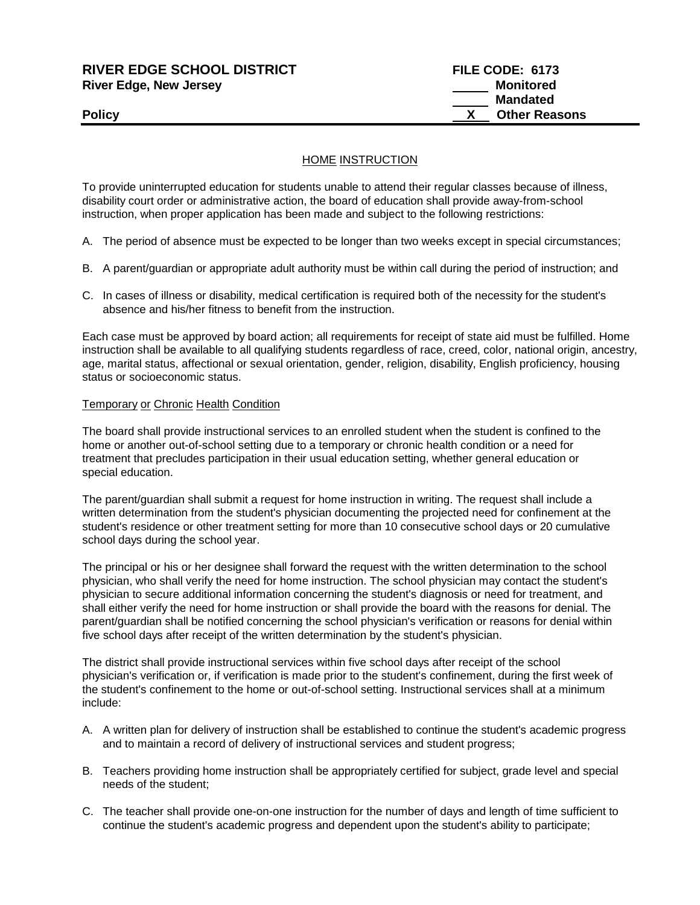## **RIVER EDGE SCHOOL DISTRICT FILE CODE: 6173 River Edge, New Jersey Monitored Monitored**

## HOME INSTRUCTION

To provide uninterrupted education for students unable to attend their regular classes because of illness, disability court order or administrative action, the board of education shall provide away-from-school instruction, when proper application has been made and subject to the following restrictions:

A. The period of absence must be expected to be longer than two weeks except in special circumstances;

- B. A parent/guardian or appropriate adult authority must be within call during the period of instruction; and
- C. In cases of illness or disability, medical certification is required both of the necessity for the student's absence and his/her fitness to benefit from the instruction.

Each case must be approved by board action; all requirements for receipt of state aid must be fulfilled. Home instruction shall be available to all qualifying students regardless of race, creed, color, national origin, ancestry, age, marital status, affectional or sexual orientation, gender, religion, disability, English proficiency, housing status or socioeconomic status.

#### Temporary or Chronic Health Condition

The board shall provide instructional services to an enrolled student when the student is confined to the home or another out-of-school setting due to a temporary or chronic health condition or a need for treatment that precludes participation in their usual education setting, whether general education or special education.

The parent/guardian shall submit a request for home instruction in writing. The request shall include a written determination from the student's physician documenting the projected need for confinement at the student's residence or other treatment setting for more than 10 consecutive school days or 20 cumulative school days during the school year.

The principal or his or her designee shall forward the request with the written determination to the school physician, who shall verify the need for home instruction. The school physician may contact the student's physician to secure additional information concerning the student's diagnosis or need for treatment, and shall either verify the need for home instruction or shall provide the board with the reasons for denial. The parent/guardian shall be notified concerning the school physician's verification or reasons for denial within five school days after receipt of the written determination by the student's physician.

The district shall provide instructional services within five school days after receipt of the school physician's verification or, if verification is made prior to the student's confinement, during the first week of the student's confinement to the home or out-of-school setting. Instructional services shall at a minimum include:

- A. A written plan for delivery of instruction shall be established to continue the student's academic progress and to maintain a record of delivery of instructional services and student progress;
- B. Teachers providing home instruction shall be appropriately certified for subject, grade level and special needs of the student;
- C. The teacher shall provide one-on-one instruction for the number of days and length of time sufficient to continue the student's academic progress and dependent upon the student's ability to participate;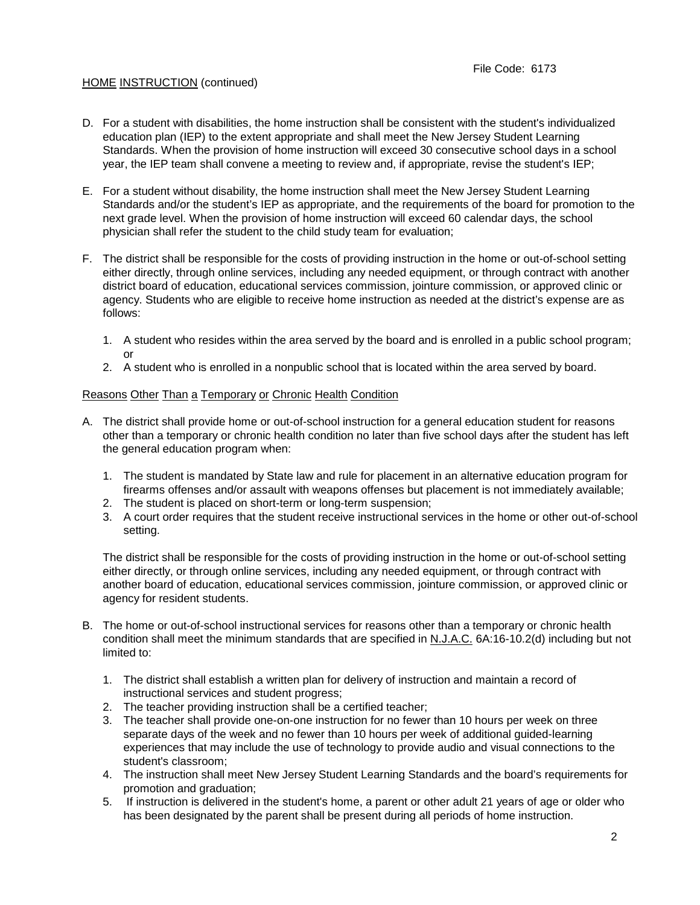## HOME INSTRUCTION (continued)

- D. For a student with disabilities, the home instruction shall be consistent with the student's individualized education plan (IEP) to the extent appropriate and shall meet the New Jersey Student Learning Standards. When the provision of home instruction will exceed 30 consecutive school days in a school year, the IEP team shall convene a meeting to review and, if appropriate, revise the student's IEP;
- E. For a student without disability, the home instruction shall meet the New Jersey Student Learning Standards and/or the student's IEP as appropriate, and the requirements of the board for promotion to the next grade level. When the provision of home instruction will exceed 60 calendar days, the school physician shall refer the student to the child study team for evaluation;
- F. The district shall be responsible for the costs of providing instruction in the home or out-of-school setting either directly, through online services, including any needed equipment, or through contract with another district board of education, educational services commission, jointure commission, or approved clinic or agency. Students who are eligible to receive home instruction as needed at the district's expense are as follows:
	- 1. A student who resides within the area served by the board and is enrolled in a public school program; or
	- 2. A student who is enrolled in a nonpublic school that is located within the area served by board.

## Reasons Other Than a Temporary or Chronic Health Condition

- A. The district shall provide home or out-of-school instruction for a general education student for reasons other than a temporary or chronic health condition no later than five school days after the student has left the general education program when:
	- 1. The student is mandated by State law and rule for placement in an alternative education program for firearms offenses and/or assault with weapons offenses but placement is not immediately available;
	- 2. The student is placed on short-term or long-term suspension;
	- 3. A court order requires that the student receive instructional services in the home or other out-of-school setting.

The district shall be responsible for the costs of providing instruction in the home or out-of-school setting either directly, or through online services, including any needed equipment, or through contract with another board of education, educational services commission, jointure commission, or approved clinic or agency for resident students.

- B. The home or out-of-school instructional services for reasons other than a temporary or chronic health condition shall meet the minimum standards that are specified in N.J.A.C. 6A:16-10.2(d) including but not limited to:
	- 1. The district shall establish a written plan for delivery of instruction and maintain a record of instructional services and student progress;
	- 2. The teacher providing instruction shall be a certified teacher;
	- 3. The teacher shall provide one-on-one instruction for no fewer than 10 hours per week on three separate days of the week and no fewer than 10 hours per week of additional guided-learning experiences that may include the use of technology to provide audio and visual connections to the student's classroom;
	- 4. The instruction shall meet New Jersey Student Learning Standards and the board's requirements for promotion and graduation;
	- 5. If instruction is delivered in the student's home, a parent or other adult 21 years of age or older who has been designated by the parent shall be present during all periods of home instruction.